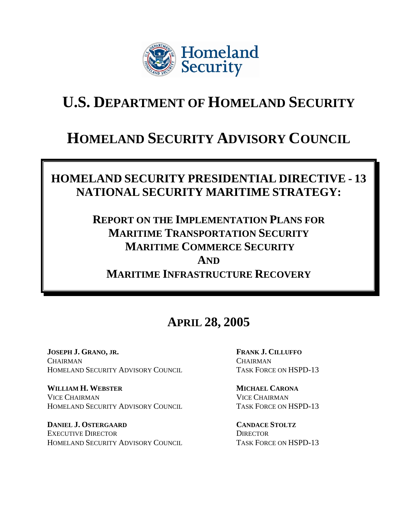

# **U.S. DEPARTMENT OF HOMELAND SECURITY**

# **HOMELAND SECURITY ADVISORY COUNCIL**

# **HOMELAND SECURITY PRESIDENTIAL DIRECTIVE - 13 NATIONAL SECURITY MARITIME STRATEGY:**

## **REPORT ON THE IMPLEMENTATION PLANS FOR MARITIME TRANSPORTATION SECURITY MARITIME COMMERCE SECURITY AND MARITIME INFRASTRUCTURE RECOVERY**

# **APRIL 28, 2005**

**JOSEPH J. GRANO, JR. FRANK J. CILLUFFO** CHAIRMAN CHAIRMAN HOMELAND SECURITY ADVISORY COUNCIL TASK FORCE ON HSPD-13

**WILLIAM H. WEBSTER MICHAEL CARONA** VICE CHAIRMAN VICE CHAIRMAN HOMELAND SECURITY ADVISORY COUNCIL TASK FORCE ON HSPD-13

**DANIEL J. OSTERGAARD CANDACE STOLTZ** EXECUTIVE DIRECTOR DIRECTOR HOMELAND SECURITY ADVISORY COUNCIL TASK FORCE ON HSPD-13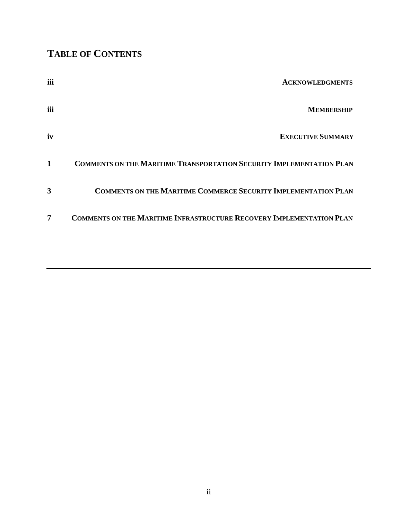## **TABLE OF CONTENTS**

| iii | <b>ACKNOWLEDGMENTS</b>                                                      |
|-----|-----------------------------------------------------------------------------|
| iii | <b>MEMBERSHIP</b>                                                           |
| iv  | <b>EXECUTIVE SUMMARY</b>                                                    |
| 1   | <b>COMMENTS ON THE MARITIME TRANSPORTATION SECURITY IMPLEMENTATION PLAN</b> |
| 3   | <b>COMMENTS ON THE MARITIME COMMERCE SECURITY IMPLEMENTATION PLAN</b>       |
| 7   | <b>COMMENTS ON THE MARITIME INFRASTRUCTURE RECOVERY IMPLEMENTATION PLAN</b> |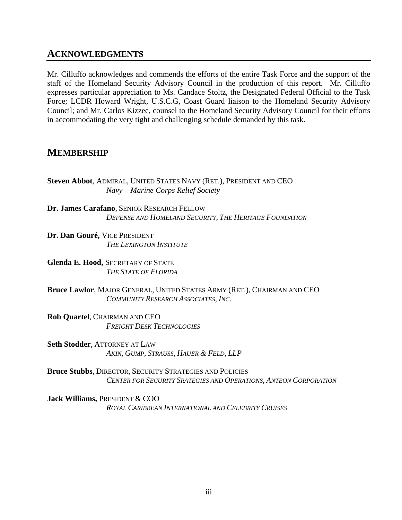### **ACKNOWLEDGMENTS**

Mr. Cilluffo acknowledges and commends the efforts of the entire Task Force and the support of the staff of the Homeland Security Advisory Council in the production of this report. Mr. Cilluffo expresses particular appreciation to Ms. Candace Stoltz, the Designated Federal Official to the Task Force; LCDR Howard Wright, U.S.C.G, Coast Guard liaison to the Homeland Security Advisory Council; and Mr. Carlos Kizzee, counsel to the Homeland Security Advisory Council for their efforts in accommodating the very tight and challenging schedule demanded by this task.

### **MEMBERSHIP**

**Steven Abbot**, ADMIRAL, UNITED STATES NAVY (RET.), PRESIDENT AND CEO *Navy – Marine Corps Relief Society* 

**Dr. James Carafano**, SENIOR RESEARCH FELLOW *DEFENSE AND HOMELAND SECURITY, THE HERITAGE FOUNDATION*

**Dr. Dan Gouré,** VICE PRESIDENT *THE LEXINGTON INSTITUTE* 

**Glenda E. Hood,** SECRETARY OF STATE *THE STATE OF FLORIDA*

**Bruce Lawlor**, MAJOR GENERAL, UNITED STATES ARMY (RET.), CHAIRMAN AND CEO *COMMUNITY RESEARCH ASSOCIATES, INC.* 

**Rob Quartel**, CHAIRMAN AND CEO *FREIGHT DESK TECHNOLOGIES*

**Seth Stodder**, ATTORNEY AT LAW *AKIN, GUMP, STRAUSS, HAUER & FELD, LLP* 

**Bruce Stubbs**, DIRECTOR, SECURITY STRATEGIES AND POLICIES *CENTER FOR SECURITY SRATEGIES AND OPERATIONS, ANTEON CORPORATION*

**Jack Williams,** PRESIDENT & COO *ROYAL CARIBBEAN INTERNATIONAL AND CELEBRITY CRUISES*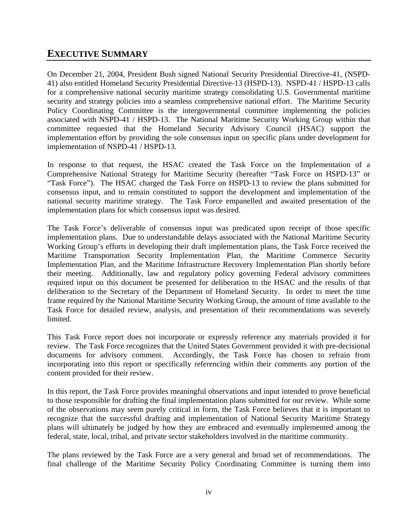### **EXECUTIVE SUMMARY**

On December 21, 2004, President Bush signed National Security Presidential Directive-41, (NSPD-41) also entitled Homeland Security Presidential Directive-13 (HSPD-13). NSPD-41 / HSPD-13 calls for a comprehensive national security maritime strategy consolidating U.S. Governmental maritime security and strategy policies into a seamless comprehensive national effort. The Maritime Security Policy Coordinating Committee is the intergovernmental committee implementing the policies associated with NSPD-41 / HSPD-13. The National Maritime Security Working Group within that committee requested that the Homeland Security Advisory Council (HSAC) support the implementation effort by providing the sole consensus input on specific plans under development for implementation of NSPD-41 / HSPD-13.

In response to that request, the HSAC created the Task Force on the Implementation of a Comprehensive National Strategy for Maritime Security (hereafter "Task Force on HSPD-13" or "Task Force"). The HSAC charged the Task Force on HSPD-13 to review the plans submitted for consensus input, and to remain constituted to support the development and implementation of the national security maritime strategy. The Task Force empanelled and awaited presentation of the implementation plans for which consensus input was desired.

The Task Force's deliverable of consensus input was predicated upon receipt of those specific implementation plans. Due to understandable delays associated with the National Maritime Security Working Group's efforts in developing their draft implementation plans, the Task Force received the Maritime Transportation Security Implementation Plan, the Maritime Commerce Security Implementation Plan, and the Maritime Infrastructure Recovery Implementation Plan shortly before their meeting. Additionally, law and regulatory policy governing Federal advisory committees required input on this document be presented for deliberation to the HSAC and the results of that deliberation to the Secretary of the Department of Homeland Security. In order to meet the time frame required by the National Maritime Security Working Group, the amount of time available to the Task Force for detailed review, analysis, and presentation of their recommendations was severely limited.

This Task Force report does not incorporate or expressly reference any materials provided it for review. The Task Force recognizes that the United States Government provided it with pre-decisional documents for advisory comment. Accordingly, the Task Force has chosen to refrain from incorporating into this report or specifically referencing within their comments any portion of the content provided for their review.

In this report, the Task Force provides meaningful observations and input intended to prove beneficial to those responsible for drafting the final implementation plans submitted for our review. While some of the observations may seem purely critical in form, the Task Force believes that it is important to recognize that the successful drafting and implementation of National Security Maritime Strategy plans will ultimately be judged by how they are embraced and eventually implemented among the federal, state, local, tribal, and private sector stakeholders involved in the maritime community.

The plans reviewed by the Task Force are a very general and broad set of recommendations. The final challenge of the Maritime Security Policy Coordinating Committee is turning them into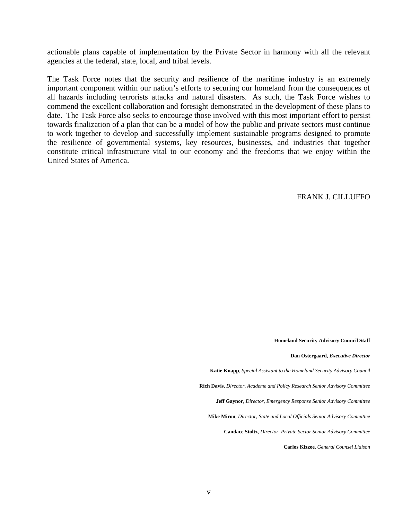actionable plans capable of implementation by the Private Sector in harmony with all the relevant agencies at the federal, state, local, and tribal levels.

The Task Force notes that the security and resilience of the maritime industry is an extremely important component within our nation's efforts to securing our homeland from the consequences of all hazards including terrorists attacks and natural disasters. As such, the Task Force wishes to commend the excellent collaboration and foresight demonstrated in the development of these plans to date. The Task Force also seeks to encourage those involved with this most important effort to persist towards finalization of a plan that can be a model of how the public and private sectors must continue to work together to develop and successfully implement sustainable programs designed to promote the resilience of governmental systems, key resources, businesses, and industries that together constitute critical infrastructure vital to our economy and the freedoms that we enjoy within the United States of America.

#### FRANK J. CILLUFFO

#### **Homeland Security Advisory Council Staff**

**Dan Ostergaard,** *Executive Director*

**Katie Knapp**, *Special Assistant to the Homeland Security Advisory Council*

**Rich Davis**, *Director, Academe and Policy Research Senior Advisory Committee*

**Jeff Gaynor**, *Director, Emergency Response Senior Advisory Committee*

**Mike Miron**, *Director, State and Local Officials Senior Advisory Committee*

**Candace Stoltz**, *Director, Private Sector Senior Advisory Committee*

**Carlos Kizzee**, *General Counsel Liaison*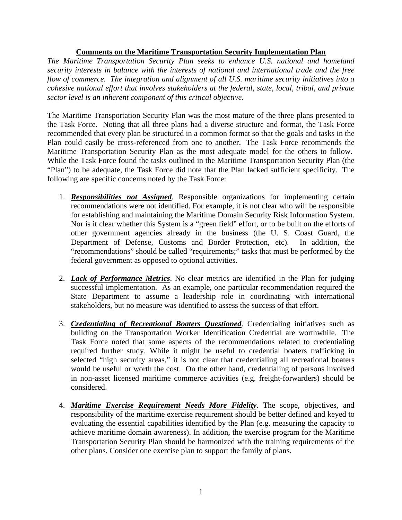### **Comments on the Maritime Transportation Security Implementation Plan**

*The Maritime Transportation Security Plan seeks to enhance U.S. national and homeland security interests in balance with the interests of national and international trade and the free flow of commerce. The integration and alignment of all U.S. maritime security initiatives into a cohesive national effort that involves stakeholders at the federal, state, local, tribal, and private sector level is an inherent component of this critical objective.*

The Maritime Transportation Security Plan was the most mature of the three plans presented to the Task Force. Noting that all three plans had a diverse structure and format, the Task Force recommended that every plan be structured in a common format so that the goals and tasks in the Plan could easily be cross-referenced from one to another. The Task Force recommends the Maritime Transportation Security Plan as the most adequate model for the others to follow. While the Task Force found the tasks outlined in the Maritime Transportation Security Plan (the "Plan") to be adequate, the Task Force did note that the Plan lacked sufficient specificity. The following are specific concerns noted by the Task Force:

- 1. *Responsibilities not Assigned.* Responsible organizations for implementing certain recommendations were not identified. For example, it is not clear who will be responsible for establishing and maintaining the Maritime Domain Security Risk Information System. Nor is it clear whether this System is a "green field" effort, or to be built on the efforts of other government agencies already in the business (the U. S. Coast Guard, the Department of Defense, Customs and Border Protection, etc). In addition, the "recommendations" should be called "requirements;" tasks that must be performed by the federal government as opposed to optional activities.
- 2. *Lack of Performance Metrics*. No clear metrics are identified in the Plan for judging successful implementation. As an example, one particular recommendation required the State Department to assume a leadership role in coordinating with international stakeholders, but no measure was identified to assess the success of that effort.
- 3. *Credentialing of Recreational Boaters Questioned*. Credentialing initiatives such as building on the Transportation Worker Identification Credential are worthwhile. The Task Force noted that some aspects of the recommendations related to credentialing required further study. While it might be useful to credential boaters trafficking in selected "high security areas," it is not clear that credentialing all recreational boaters would be useful or worth the cost. On the other hand, credentialing of persons involved in non-asset licensed maritime commerce activities (e.g. freight-forwarders) should be considered.
- 4. *Maritime Exercise Requirement Needs More Fidelity*. The scope, objectives, and responsibility of the maritime exercise requirement should be better defined and keyed to evaluating the essential capabilities identified by the Plan (e.g. measuring the capacity to achieve maritime domain awareness). In addition, the exercise program for the Maritime Transportation Security Plan should be harmonized with the training requirements of the other plans. Consider one exercise plan to support the family of plans.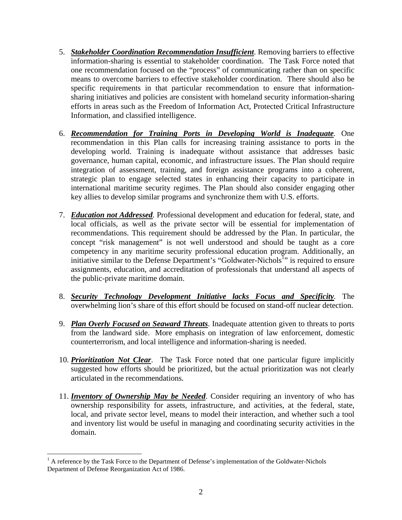- 5. *Stakeholder Coordination Recommendation Insufficient*. Removing barriers to effective information-sharing is essential to stakeholder coordination. The Task Force noted that one recommendation focused on the "process" of communicating rather than on specific means to overcome barriers to effective stakeholder coordination. There should also be specific requirements in that particular recommendation to ensure that informationsharing initiatives and policies are consistent with homeland security information-sharing efforts in areas such as the Freedom of Information Act, Protected Critical Infrastructure Information, and classified intelligence.
- 6. *Recommendation for Training Ports in Developing World is Inadequate.* One recommendation in this Plan calls for increasing training assistance to ports in the developing world. Training is inadequate without assistance that addresses basic governance, human capital, economic, and infrastructure issues. The Plan should require integration of assessment, training, and foreign assistance programs into a coherent, strategic plan to engage selected states in enhancing their capacity to participate in international maritime security regimes. The Plan should also consider engaging other key allies to develop similar programs and synchronize them with U.S. efforts.
- 7. *Education not Addressed.* Professional development and education for federal, state, and local officials, as well as the private sector will be essential for implementation of recommendations. This requirement should be addressed by the Plan. In particular, the concept "risk management" is not well understood and should be taught as a core competency in any maritime security professional education program. Additionally, an initiative similar to the Defense Department's "Goldwater-Nichols<sup>I</sup>" is required to ensure assignments, education, and accreditation of professionals that understand all aspects of the public-private maritime domain.
- 8. *Security Technology Development Initiative lacks Focus and Specificity.* The overwhelming lion's share of this effort should be focused on stand-off nuclear detection.
- 9. *Plan Overly Focused on Seaward Threats*. Inadequate attention given to threats to ports from the landward side. More emphasis on integration of law enforcement, domestic counterterrorism, and local intelligence and information-sharing is needed.
- 10. *Prioritization Not Clear*. The Task Force noted that one particular figure implicitly suggested how efforts should be prioritized, but the actual prioritization was not clearly articulated in the recommendations.
- 11. *Inventory of Ownership May be Needed*. Consider requiring an inventory of who has ownership responsibility for assets, infrastructure, and activities, at the federal, state, local, and private sector level, means to model their interaction, and whether such a tool and inventory list would be useful in managing and coordinating security activities in the domain.

1

<sup>&</sup>lt;sup>1</sup> A reference by the Task Force to the Department of Defense's implementation of the Goldwater-Nichols Department of Defense Reorganization Act of 1986.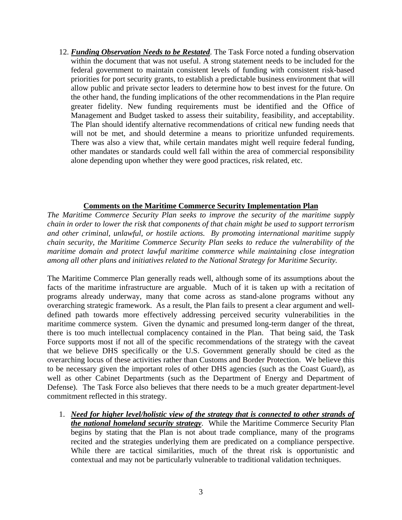12. *Funding Observation Needs to be Restated*. The Task Force noted a funding observation within the document that was not useful. A strong statement needs to be included for the federal government to maintain consistent levels of funding with consistent risk-based priorities for port security grants, to establish a predictable business environment that will allow public and private sector leaders to determine how to best invest for the future. On the other hand, the funding implications of the other recommendations in the Plan require greater fidelity. New funding requirements must be identified and the Office of Management and Budget tasked to assess their suitability, feasibility, and acceptability. The Plan should identify alternative recommendations of critical new funding needs that will not be met, and should determine a means to prioritize unfunded requirements. There was also a view that, while certain mandates might well require federal funding, other mandates or standards could well fall within the area of commercial responsibility alone depending upon whether they were good practices, risk related, etc.

#### **Comments on the Maritime Commerce Security Implementation Plan**

*The Maritime Commerce Security Plan seeks to improve the security of the maritime supply chain in order to lower the risk that components of that chain might be used to support terrorism and other criminal, unlawful, or hostile actions. By promoting international maritime supply chain security, the Maritime Commerce Security Plan seeks to reduce the vulnerability of the maritime domain and protect lawful maritime commerce while maintaining close integration among all other plans and initiatives related to the National Strategy for Maritime Security.* 

The Maritime Commerce Plan generally reads well, although some of its assumptions about the facts of the maritime infrastructure are arguable. Much of it is taken up with a recitation of programs already underway, many that come across as stand-alone programs without any overarching strategic framework. As a result, the Plan fails to present a clear argument and welldefined path towards more effectively addressing perceived security vulnerabilities in the maritime commerce system. Given the dynamic and presumed long-term danger of the threat, there is too much intellectual complacency contained in the Plan. That being said, the Task Force supports most if not all of the specific recommendations of the strategy with the caveat that we believe DHS specifically or the U.S. Government generally should be cited as the overarching locus of these activities rather than Customs and Border Protection. We believe this to be necessary given the important roles of other DHS agencies (such as the Coast Guard), as well as other Cabinet Departments (such as the Department of Energy and Department of Defense). The Task Force also believes that there needs to be a much greater department-level commitment reflected in this strategy.

1. *Need for higher level/holistic view of the strategy that is connected to other strands of the national homeland security strategy*. While the Maritime Commerce Security Plan begins by stating that the Plan is not about trade compliance, many of the programs recited and the strategies underlying them are predicated on a compliance perspective. While there are tactical similarities, much of the threat risk is opportunistic and contextual and may not be particularly vulnerable to traditional validation techniques.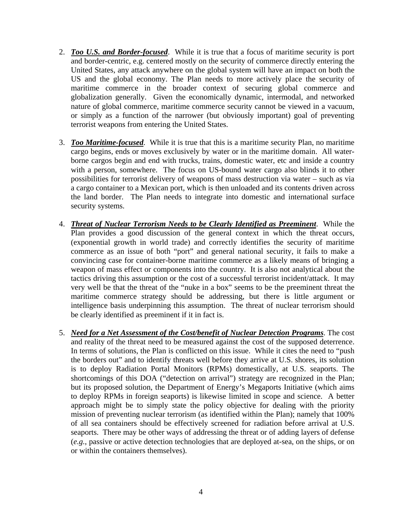- 2. *Too U.S. and Border-focused*. While it is true that a focus of maritime security is port and border-centric, e.g. centered mostly on the security of commerce directly entering the United States, any attack anywhere on the global system will have an impact on both the US and the global economy. The Plan needs to more actively place the security of maritime commerce in the broader context of securing global commerce and globalization generally. Given the economically dynamic, intermodal, and networked nature of global commerce, maritime commerce security cannot be viewed in a vacuum, or simply as a function of the narrower (but obviously important) goal of preventing terrorist weapons from entering the United States.
- 3. *Too Maritime-focused*. While it is true that this is a maritime security Plan, no maritime cargo begins, ends or moves exclusively by water or in the maritime domain. All waterborne cargos begin and end with trucks, trains, domestic water, etc and inside a country with a person, somewhere. The focus on US-bound water cargo also blinds it to other possibilities for terrorist delivery of weapons of mass destruction via water – such as via a cargo container to a Mexican port, which is then unloaded and its contents driven across the land border. The Plan needs to integrate into domestic and international surface security systems.
- 4. *Threat of Nuclear Terrorism Needs to be Clearly Identified as Preeminent*. While the Plan provides a good discussion of the general context in which the threat occurs, (exponential growth in world trade) and correctly identifies the security of maritime commerce as an issue of both "port" and general national security, it fails to make a convincing case for container-borne maritime commerce as a likely means of bringing a weapon of mass effect or components into the country. It is also not analytical about the tactics driving this assumption or the cost of a successful terrorist incident/attack. It may very well be that the threat of the "nuke in a box" seems to be the preeminent threat the maritime commerce strategy should be addressing, but there is little argument or intelligence basis underpinning this assumption. The threat of nuclear terrorism should be clearly identified as preeminent if it in fact is.
- 5. *Need for a Net Assessment of the Cost/benefit of Nuclear Detection Programs*. The cost and reality of the threat need to be measured against the cost of the supposed deterrence. In terms of solutions, the Plan is conflicted on this issue. While it cites the need to "push the borders out" and to identify threats well before they arrive at U.S. shores, its solution is to deploy Radiation Portal Monitors (RPMs) domestically, at U.S. seaports. The shortcomings of this DOA ("detection on arrival") strategy are recognized in the Plan; but its proposed solution, the Department of Energy's Megaports Initiative (which aims to deploy RPMs in foreign seaports) is likewise limited in scope and science. A better approach might be to simply state the policy objective for dealing with the priority mission of preventing nuclear terrorism (as identified within the Plan); namely that 100% of all sea containers should be effectively screened for radiation before arrival at U.S. seaports. There may be other ways of addressing the threat or of adding layers of defense (*e.g.*, passive or active detection technologies that are deployed at-sea, on the ships, or on or within the containers themselves).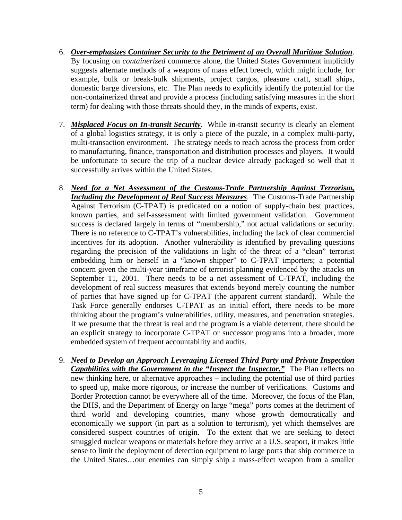- 6. *Over-emphasizes Container Security to the Detriment of an Overall Maritime Solution*. By focusing on *containerized* commerce alone, the United States Government implicitly suggests alternate methods of a weapons of mass effect breech, which might include, for example, bulk or break-bulk shipments, project cargos, pleasure craft, small ships, domestic barge diversions, etc. The Plan needs to explicitly identify the potential for the non-containerized threat and provide a process (including satisfying measures in the short term) for dealing with those threats should they, in the minds of experts, exist.
- 7. *Misplaced Focus on In-transit Security*. While in-transit security is clearly an element of a global logistics strategy, it is only a piece of the puzzle, in a complex multi-party, multi-transaction environment. The strategy needs to reach across the process from order to manufacturing, finance, transportation and distribution processes and players. It would be unfortunate to secure the trip of a nuclear device already packaged so well that it successfully arrives within the United States.
- 8. *Need for a Net Assessment of the Customs-Trade Partnership Against Terrorism, Including the Development of Real Success Measures*.The Customs-Trade Partnership Against Terrorism (C-TPAT) is predicated on a notion of supply-chain best practices, known parties, and self-assessment with limited government validation. Government success is declared largely in terms of "membership," not actual validations or security. There is no reference to C-TPAT's vulnerabilities, including the lack of clear commercial incentives for its adoption. Another vulnerability is identified by prevailing questions regarding the precision of the validations in light of the threat of a "clean" terrorist embedding him or herself in a "known shipper" to C-TPAT importers; a potential concern given the multi-year timeframe of terrorist planning evidenced by the attacks on September 11, 2001. There needs to be a net assessment of C-TPAT, including the development of real success measures that extends beyond merely counting the number of parties that have signed up for C-TPAT (the apparent current standard). While the Task Force generally endorses C-TPAT as an initial effort, there needs to be more thinking about the program's vulnerabilities, utility, measures, and penetration strategies. If we presume that the threat is real and the program is a viable deterrent, there should be an explicit strategy to incorporate C-TPAT or successor programs into a broader, more embedded system of frequent accountability and audits.
- 9. *Need to Develop an Approach Leveraging Licensed Third Party and Private Inspection Capabilities with the Government in the "Inspect the Inspector."* The Plan reflects no new thinking here, or alternative approaches – including the potential use of third parties to speed up, make more rigorous, or increase the number of verifications. Customs and Border Protection cannot be everywhere all of the time. Moreover, the focus of the Plan, the DHS, and the Department of Energy on large "mega" ports comes at the detriment of third world and developing countries, many whose growth democratically and economically we support (in part as a solution to terrorism), yet which themselves are considered suspect countries of origin. To the extent that we are seeking to detect smuggled nuclear weapons or materials before they arrive at a U.S. seaport, it makes little sense to limit the deployment of detection equipment to large ports that ship commerce to the United States…our enemies can simply ship a mass-effect weapon from a smaller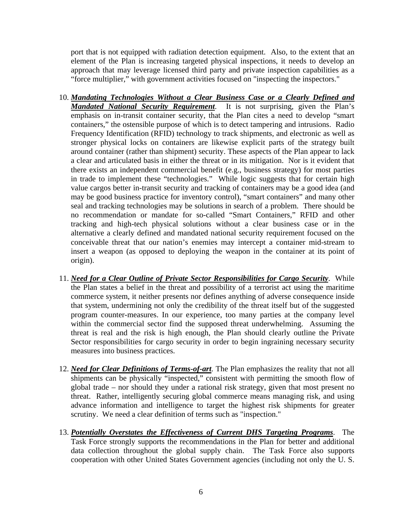port that is not equipped with radiation detection equipment. Also, to the extent that an element of the Plan is increasing targeted physical inspections, it needs to develop an approach that may leverage licensed third party and private inspection capabilities as a "force multiplier," with government activities focused on "inspecting the inspectors."

- 10. *Mandating Technologies Without a Clear Business Case or a Clearly Defined and Mandated National Security Requirement*. It is not surprising, given the Plan's emphasis on in-transit container security, that the Plan cites a need to develop "smart containers," the ostensible purpose of which is to detect tampering and intrusions. Radio Frequency Identification (RFID) technology to track shipments, and electronic as well as stronger physical locks on containers are likewise explicit parts of the strategy built around container (rather than shipment) security. These aspects of the Plan appear to lack a clear and articulated basis in either the threat or in its mitigation. Nor is it evident that there exists an independent commercial benefit (e.g., business strategy) for most parties in trade to implement these "technologies." While logic suggests that for certain high value cargos better in-transit security and tracking of containers may be a good idea (and may be good business practice for inventory control), "smart containers" and many other seal and tracking technologies may be solutions in search of a problem. There should be no recommendation or mandate for so-called "Smart Containers," RFID and other tracking and high-tech physical solutions without a clear business case or in the alternative a clearly defined and mandated national security requirement focused on the conceivable threat that our nation's enemies may intercept a container mid-stream to insert a weapon (as opposed to deploying the weapon in the container at its point of origin).
- 11. *Need for a Clear Outline of Private Sector Responsibilities for Cargo Security*. While the Plan states a belief in the threat and possibility of a terrorist act using the maritime commerce system, it neither presents nor defines anything of adverse consequence inside that system, undermining not only the credibility of the threat itself but of the suggested program counter-measures. In our experience, too many parties at the company level within the commercial sector find the supposed threat underwhelming. Assuming the threat is real and the risk is high enough, the Plan should clearly outline the Private Sector responsibilities for cargo security in order to begin ingraining necessary security measures into business practices.
- 12. *Need for Clear Definitions of Terms-of-art*. The Plan emphasizes the reality that not all shipments can be physically "inspected," consistent with permitting the smooth flow of global trade – nor should they under a rational risk strategy, given that most present no threat. Rather, intelligently securing global commerce means managing risk, and using advance information and intelligence to target the highest risk shipments for greater scrutiny. We need a clear definition of terms such as "inspection."
- 13. *Potentially Overstates the Effectiveness of Current DHS Targeting Programs*. The Task Force strongly supports the recommendations in the Plan for better and additional data collection throughout the global supply chain. The Task Force also supports cooperation with other United States Government agencies (including not only the U. S.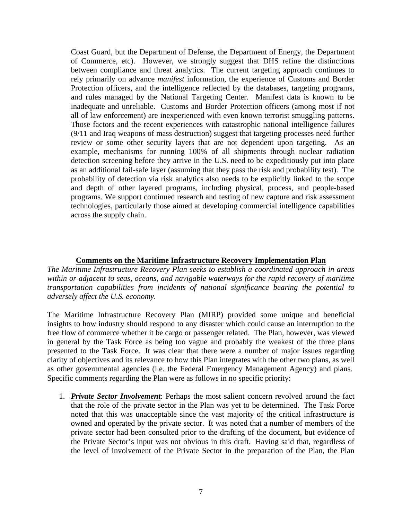Coast Guard, but the Department of Defense, the Department of Energy, the Department of Commerce, etc). However, we strongly suggest that DHS refine the distinctions between compliance and threat analytics. The current targeting approach continues to rely primarily on advance *manifest* information, the experience of Customs and Border Protection officers, and the intelligence reflected by the databases, targeting programs, and rules managed by the National Targeting Center. Manifest data is known to be inadequate and unreliable. Customs and Border Protection officers (among most if not all of law enforcement) are inexperienced with even known terrorist smuggling patterns. Those factors and the recent experiences with catastrophic national intelligence failures (9/11 and Iraq weapons of mass destruction) suggest that targeting processes need further review or some other security layers that are not dependent upon targeting. As an example, mechanisms for running 100% of all shipments through nuclear radiation detection screening before they arrive in the U.S. need to be expeditiously put into place as an additional fail-safe layer (assuming that they pass the risk and probability test). The probability of detection via risk analytics also needs to be explicitly linked to the scope and depth of other layered programs, including physical, process, and people-based programs. We support continued research and testing of new capture and risk assessment technologies, particularly those aimed at developing commercial intelligence capabilities across the supply chain.

### **Comments on the Maritime Infrastructure Recovery Implementation Plan**

*The Maritime Infrastructure Recovery Plan seeks to establish a coordinated approach in areas within or adjacent to seas, oceans, and navigable waterways for the rapid recovery of maritime transportation capabilities from incidents of national significance bearing the potential to adversely affect the U.S. economy.* 

The Maritime Infrastructure Recovery Plan (MIRP) provided some unique and beneficial insights to how industry should respond to any disaster which could cause an interruption to the free flow of commerce whether it be cargo or passenger related. The Plan, however, was viewed in general by the Task Force as being too vague and probably the weakest of the three plans presented to the Task Force. It was clear that there were a number of major issues regarding clarity of objectives and its relevance to how this Plan integrates with the other two plans, as well as other governmental agencies (i.e. the Federal Emergency Management Agency) and plans. Specific comments regarding the Plan were as follows in no specific priority:

1. *Private Sector Involvement*: Perhaps the most salient concern revolved around the fact that the role of the private sector in the Plan was yet to be determined. The Task Force noted that this was unacceptable since the vast majority of the critical infrastructure is owned and operated by the private sector. It was noted that a number of members of the private sector had been consulted prior to the drafting of the document, but evidence of the Private Sector's input was not obvious in this draft. Having said that, regardless of the level of involvement of the Private Sector in the preparation of the Plan, the Plan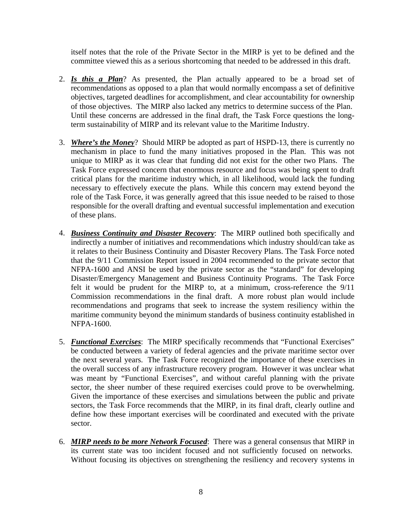itself notes that the role of the Private Sector in the MIRP is yet to be defined and the committee viewed this as a serious shortcoming that needed to be addressed in this draft.

- 2. *Is this a Plan*? As presented, the Plan actually appeared to be a broad set of recommendations as opposed to a plan that would normally encompass a set of definitive objectives, targeted deadlines for accomplishment, and clear accountability for ownership of those objectives. The MIRP also lacked any metrics to determine success of the Plan. Until these concerns are addressed in the final draft, the Task Force questions the longterm sustainability of MIRP and its relevant value to the Maritime Industry.
- 3. *Where's the Money*? Should MIRP be adopted as part of HSPD-13, there is currently no mechanism in place to fund the many initiatives proposed in the Plan. This was not unique to MIRP as it was clear that funding did not exist for the other two Plans. The Task Force expressed concern that enormous resource and focus was being spent to draft critical plans for the maritime industry which, in all likelihood, would lack the funding necessary to effectively execute the plans. While this concern may extend beyond the role of the Task Force, it was generally agreed that this issue needed to be raised to those responsible for the overall drafting and eventual successful implementation and execution of these plans.
- 4. *Business Continuity and Disaster Recovery*: The MIRP outlined both specifically and indirectly a number of initiatives and recommendations which industry should/can take as it relates to their Business Continuity and Disaster Recovery Plans. The Task Force noted that the 9/11 Commission Report issued in 2004 recommended to the private sector that NFPA-1600 and ANSI be used by the private sector as the "standard" for developing Disaster/Emergency Management and Business Continuity Programs. The Task Force felt it would be prudent for the MIRP to, at a minimum, cross-reference the 9/11 Commission recommendations in the final draft. A more robust plan would include recommendations and programs that seek to increase the system resiliency within the maritime community beyond the minimum standards of business continuity established in NFPA-1600.
- 5. *Functional Exercises*: The MIRP specifically recommends that "Functional Exercises" be conducted between a variety of federal agencies and the private maritime sector over the next several years. The Task Force recognized the importance of these exercises in the overall success of any infrastructure recovery program. However it was unclear what was meant by "Functional Exercises", and without careful planning with the private sector, the sheer number of these required exercises could prove to be overwhelming. Given the importance of these exercises and simulations between the public and private sectors, the Task Force recommends that the MIRP, in its final draft, clearly outline and define how these important exercises will be coordinated and executed with the private sector.
- 6. *MIRP needs to be more Network Focused*: There was a general consensus that MIRP in its current state was too incident focused and not sufficiently focused on networks. Without focusing its objectives on strengthening the resiliency and recovery systems in